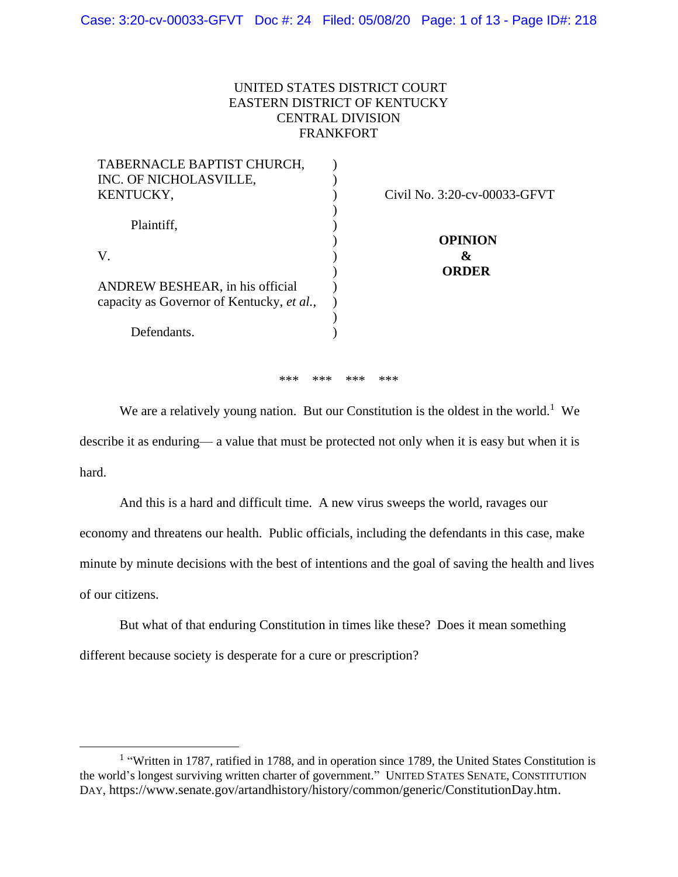## UNITED STATES DISTRICT COURT EASTERN DISTRICT OF KENTUCKY CENTRAL DIVISION FRANKFORT

| TABERNACLE BAPTIST CHURCH,                |                              |
|-------------------------------------------|------------------------------|
| INC. OF NICHOLASVILLE,                    |                              |
| KENTUCKY,                                 | Civil No. 3:20-cv-00033-GFVT |
|                                           |                              |
| Plaintiff,                                |                              |
|                                           | <b>OPINION</b>               |
| V.                                        | &                            |
|                                           | <b>ORDER</b>                 |
| ANDREW BESHEAR, in his official           |                              |
| capacity as Governor of Kentucky, et al., |                              |
|                                           |                              |
| Defendants.                               |                              |
|                                           |                              |

\*\*\* \*\*\* \*\*\* \*\*\*

We are a relatively young nation. But our Constitution is the oldest in the world.<sup>1</sup> We describe it as enduring— a value that must be protected not only when it is easy but when it is hard.

And this is a hard and difficult time. A new virus sweeps the world, ravages our economy and threatens our health. Public officials, including the defendants in this case, make minute by minute decisions with the best of intentions and the goal of saving the health and lives of our citizens.

But what of that enduring Constitution in times like these? Does it mean something different because society is desperate for a cure or prescription?

<sup>&</sup>lt;sup>1</sup> "Written in 1787, ratified in 1788, and in operation since 1789, the United States Constitution is the world's longest surviving written charter of government." UNITED STATES SENATE, CONSTITUTION DAY, https://www.senate.gov/artandhistory/history/common/generic/ConstitutionDay.htm.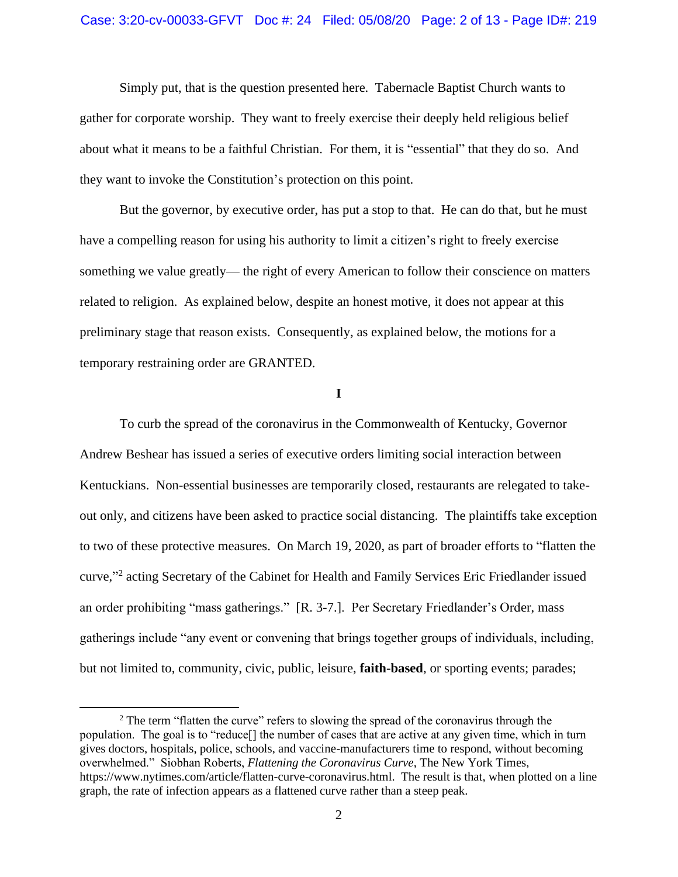Simply put, that is the question presented here. Tabernacle Baptist Church wants to gather for corporate worship. They want to freely exercise their deeply held religious belief about what it means to be a faithful Christian. For them, it is "essential" that they do so. And they want to invoke the Constitution's protection on this point.

But the governor, by executive order, has put a stop to that. He can do that, but he must have a compelling reason for using his authority to limit a citizen's right to freely exercise something we value greatly— the right of every American to follow their conscience on matters related to religion. As explained below, despite an honest motive, it does not appear at this preliminary stage that reason exists. Consequently, as explained below, the motions for a temporary restraining order are GRANTED.

**I**

To curb the spread of the coronavirus in the Commonwealth of Kentucky, Governor Andrew Beshear has issued a series of executive orders limiting social interaction between Kentuckians. Non-essential businesses are temporarily closed, restaurants are relegated to takeout only, and citizens have been asked to practice social distancing. The plaintiffs take exception to two of these protective measures. On March 19, 2020, as part of broader efforts to "flatten the curve,"<sup>2</sup> acting Secretary of the Cabinet for Health and Family Services Eric Friedlander issued an order prohibiting "mass gatherings." [R. 3-7.]. Per Secretary Friedlander's Order, mass gatherings include "any event or convening that brings together groups of individuals, including, but not limited to, community, civic, public, leisure, **faith-based**, or sporting events; parades;

<sup>&</sup>lt;sup>2</sup> The term "flatten the curve" refers to slowing the spread of the coronavirus through the population. The goal is to "reduce[] the number of cases that are active at any given time, which in turn gives doctors, hospitals, police, schools, and vaccine-manufacturers time to respond, without becoming overwhelmed." Siobhan Roberts, *Flattening the Coronavirus Curve*, The New York Times, https://www.nytimes.com/article/flatten-curve-coronavirus.html. The result is that, when plotted on a line graph, the rate of infection appears as a flattened curve rather than a steep peak.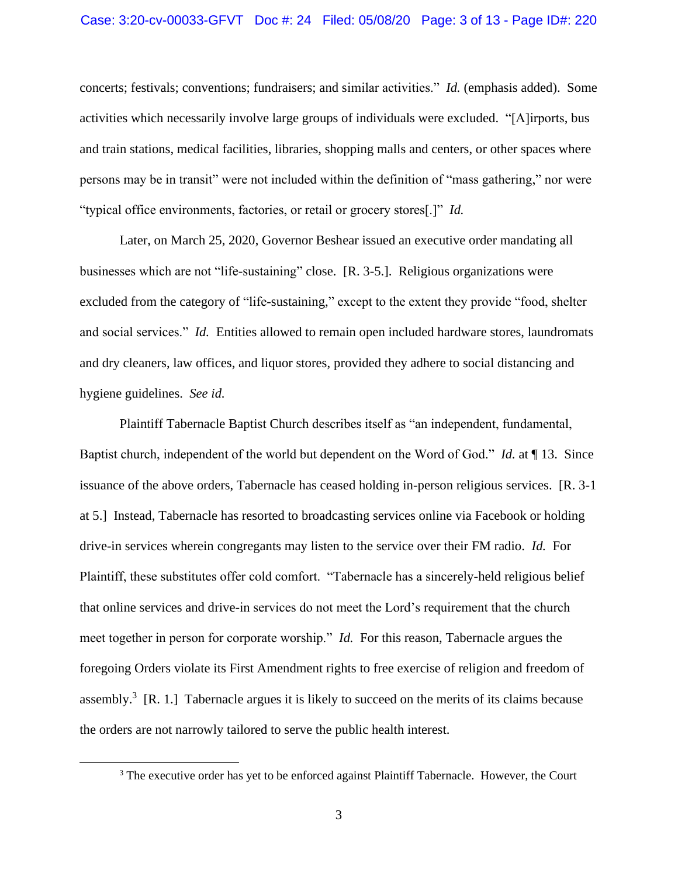concerts; festivals; conventions; fundraisers; and similar activities." *Id.* (emphasis added). Some activities which necessarily involve large groups of individuals were excluded. "[A]irports, bus and train stations, medical facilities, libraries, shopping malls and centers, or other spaces where persons may be in transit" were not included within the definition of "mass gathering," nor were "typical office environments, factories, or retail or grocery stores[.]" *Id.* 

Later, on March 25, 2020, Governor Beshear issued an executive order mandating all businesses which are not "life-sustaining" close. [R. 3-5.]. Religious organizations were excluded from the category of "life-sustaining," except to the extent they provide "food, shelter and social services." *Id.* Entities allowed to remain open included hardware stores, laundromats and dry cleaners, law offices, and liquor stores, provided they adhere to social distancing and hygiene guidelines. *See id.*

Plaintiff Tabernacle Baptist Church describes itself as "an independent, fundamental, Baptist church, independent of the world but dependent on the Word of God." *Id.* at ¶ 13. Since issuance of the above orders, Tabernacle has ceased holding in-person religious services. [R. 3-1 at 5.] Instead, Tabernacle has resorted to broadcasting services online via Facebook or holding drive-in services wherein congregants may listen to the service over their FM radio. *Id.* For Plaintiff, these substitutes offer cold comfort. "Tabernacle has a sincerely-held religious belief that online services and drive-in services do not meet the Lord's requirement that the church meet together in person for corporate worship." *Id.* For this reason, Tabernacle argues the foregoing Orders violate its First Amendment rights to free exercise of religion and freedom of assembly.<sup>3</sup> [R. 1.] Tabernacle argues it is likely to succeed on the merits of its claims because the orders are not narrowly tailored to serve the public health interest.

<sup>&</sup>lt;sup>3</sup> The executive order has yet to be enforced against Plaintiff Tabernacle. However, the Court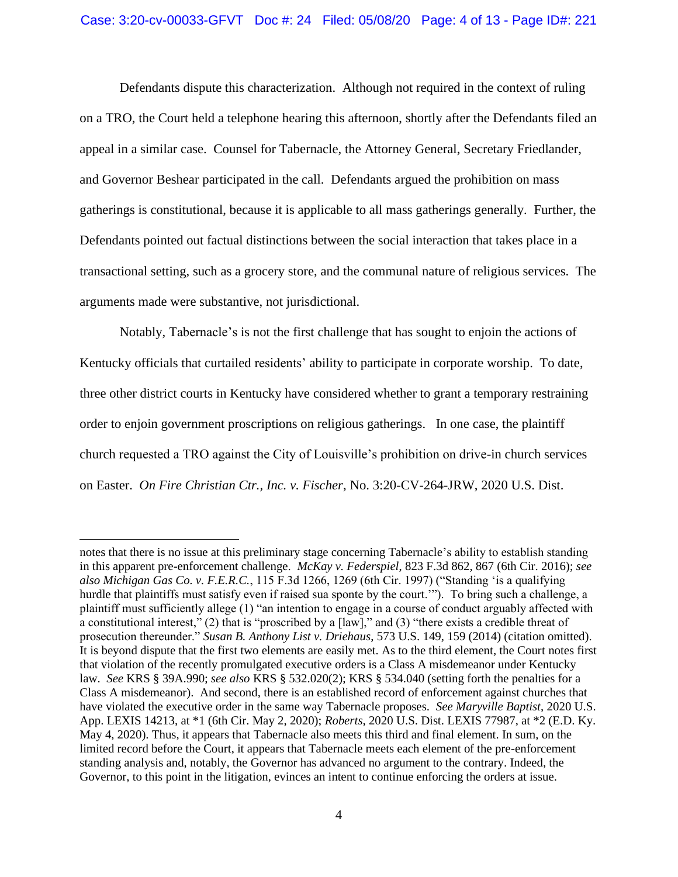Defendants dispute this characterization. Although not required in the context of ruling on a TRO, the Court held a telephone hearing this afternoon, shortly after the Defendants filed an appeal in a similar case. Counsel for Tabernacle, the Attorney General, Secretary Friedlander, and Governor Beshear participated in the call. Defendants argued the prohibition on mass gatherings is constitutional, because it is applicable to all mass gatherings generally. Further, the Defendants pointed out factual distinctions between the social interaction that takes place in a transactional setting, such as a grocery store, and the communal nature of religious services. The arguments made were substantive, not jurisdictional.

Notably, Tabernacle's is not the first challenge that has sought to enjoin the actions of Kentucky officials that curtailed residents' ability to participate in corporate worship. To date, three other district courts in Kentucky have considered whether to grant a temporary restraining order to enjoin government proscriptions on religious gatherings. In one case, the plaintiff church requested a TRO against the City of Louisville's prohibition on drive-in church services on Easter. *On Fire Christian Ctr., Inc. v. Fischer*, No. 3:20-CV-264-JRW, 2020 U.S. Dist.

notes that there is no issue at this preliminary stage concerning Tabernacle's ability to establish standing in this apparent pre-enforcement challenge. *McKay v. Federspiel*, 823 F.3d 862, 867 (6th Cir. 2016); *see also Michigan Gas Co. v. F.E.R.C.*, 115 F.3d 1266, 1269 (6th Cir. 1997) ("Standing 'is a qualifying hurdle that plaintiffs must satisfy even if raised sua sponte by the court.'"). To bring such a challenge, a plaintiff must sufficiently allege (1) "an intention to engage in a course of conduct arguably affected with a constitutional interest," (2) that is "proscribed by a [law]," and (3) "there exists a credible threat of prosecution thereunder." *Susan B. Anthony List v. Driehaus*, 573 U.S. 149, 159 (2014) (citation omitted). It is beyond dispute that the first two elements are easily met. As to the third element, the Court notes first that violation of the recently promulgated executive orders is a Class A misdemeanor under Kentucky law. *See* KRS § 39A.990; *see also* KRS § 532.020(2); KRS § 534.040 (setting forth the penalties for a Class A misdemeanor). And second, there is an established record of enforcement against churches that have violated the executive order in the same way Tabernacle proposes*. See Maryville Baptist*, 2020 U.S. App. LEXIS 14213, at \*1 (6th Cir. May 2, 2020); *Roberts*, 2020 U.S. Dist. LEXIS 77987, at \*2 (E.D. Ky. May 4, 2020). Thus, it appears that Tabernacle also meets this third and final element. In sum, on the limited record before the Court, it appears that Tabernacle meets each element of the pre-enforcement standing analysis and, notably, the Governor has advanced no argument to the contrary. Indeed, the Governor, to this point in the litigation, evinces an intent to continue enforcing the orders at issue.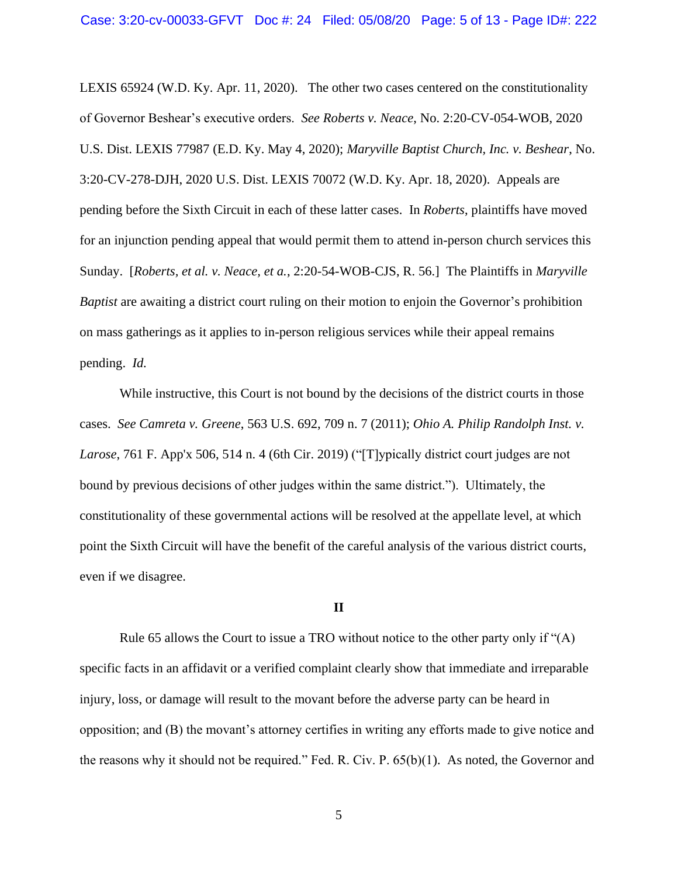LEXIS 65924 (W.D. Ky. Apr. 11, 2020). The other two cases centered on the constitutionality of Governor Beshear's executive orders. *See Roberts v. Neace*, No. 2:20-CV-054-WOB, 2020 U.S. Dist. LEXIS 77987 (E.D. Ky. May 4, 2020); *Maryville Baptist Church, Inc. v. Beshear*, No. 3:20-CV-278-DJH, 2020 U.S. Dist. LEXIS 70072 (W.D. Ky. Apr. 18, 2020). Appeals are pending before the Sixth Circuit in each of these latter cases. In *Roberts*, plaintiffs have moved for an injunction pending appeal that would permit them to attend in-person church services this Sunday. [*Roberts, et al. v. Neace, et a.*, 2:20-54-WOB-CJS, R. 56.] The Plaintiffs in *Maryville Baptist* are awaiting a district court ruling on their motion to enjoin the Governor's prohibition on mass gatherings as it applies to in-person religious services while their appeal remains pending. *Id.* 

While instructive, this Court is not bound by the decisions of the district courts in those cases. *See Camreta v. Greene*, 563 U.S. 692, 709 n. 7 (2011); *Ohio A. Philip Randolph Inst. v. Larose*, 761 F. App'x 506, 514 n. 4 (6th Cir. 2019) ("[T]ypically district court judges are not bound by previous decisions of other judges within the same district."). Ultimately, the constitutionality of these governmental actions will be resolved at the appellate level, at which point the Sixth Circuit will have the benefit of the careful analysis of the various district courts, even if we disagree.

#### **II**

Rule 65 allows the Court to issue a TRO without notice to the other party only if "(A) specific facts in an affidavit or a verified complaint clearly show that immediate and irreparable injury, loss, or damage will result to the movant before the adverse party can be heard in opposition; and (B) the movant's attorney certifies in writing any efforts made to give notice and the reasons why it should not be required." Fed. R. Civ. P. 65(b)(1). As noted, the Governor and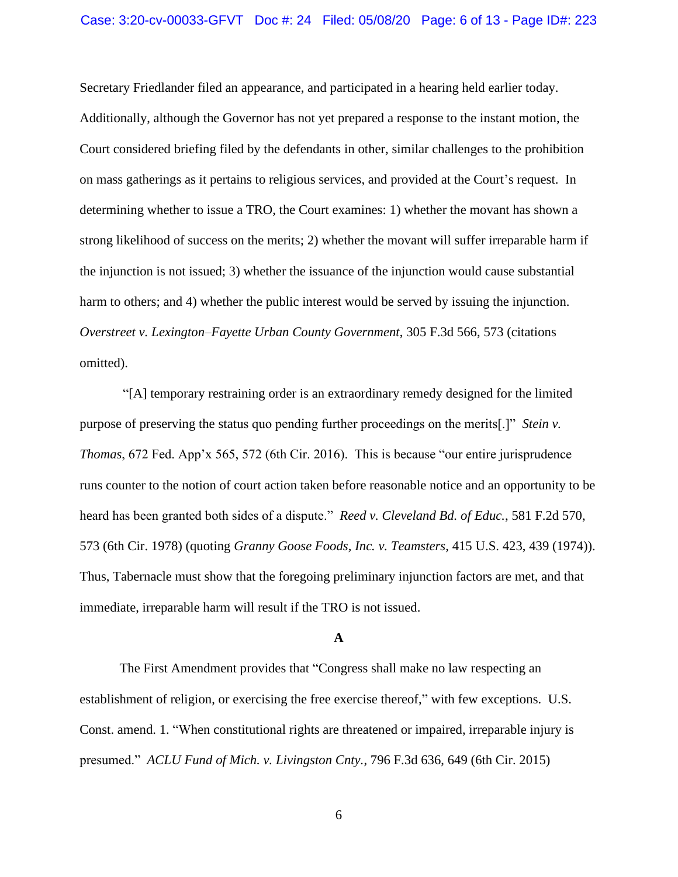Secretary Friedlander filed an appearance, and participated in a hearing held earlier today. Additionally, although the Governor has not yet prepared a response to the instant motion, the Court considered briefing filed by the defendants in other, similar challenges to the prohibition on mass gatherings as it pertains to religious services, and provided at the Court's request. In determining whether to issue a TRO, the Court examines: 1) whether the movant has shown a strong likelihood of success on the merits; 2) whether the movant will suffer irreparable harm if the injunction is not issued; 3) whether the issuance of the injunction would cause substantial harm to others; and 4) whether the public interest would be served by issuing the injunction. *Overstreet v. Lexington–Fayette Urban County Government*, 305 F.3d 566, 573 (citations omitted).

"[A] temporary restraining order is an extraordinary remedy designed for the limited purpose of preserving the status quo pending further proceedings on the merits[.]" *Stein v. Thomas*, 672 Fed. App'x 565, 572 (6th Cir. 2016). This is because "our entire jurisprudence runs counter to the notion of court action taken before reasonable notice and an opportunity to be heard has been granted both sides of a dispute." *Reed v. Cleveland Bd. of Educ.*, 581 F.2d 570, 573 (6th Cir. 1978) (quoting *Granny Goose Foods, Inc. v. Teamsters*, 415 U.S. 423, 439 (1974)). Thus, Tabernacle must show that the foregoing preliminary injunction factors are met, and that immediate, irreparable harm will result if the TRO is not issued.

#### **A**

The First Amendment provides that "Congress shall make no law respecting an establishment of religion, or exercising the free exercise thereof," with few exceptions. U.S. Const. amend. 1. "When constitutional rights are threatened or impaired, irreparable injury is presumed." *ACLU Fund of Mich. v. Livingston Cnty.*, 796 F.3d 636, 649 (6th Cir. 2015)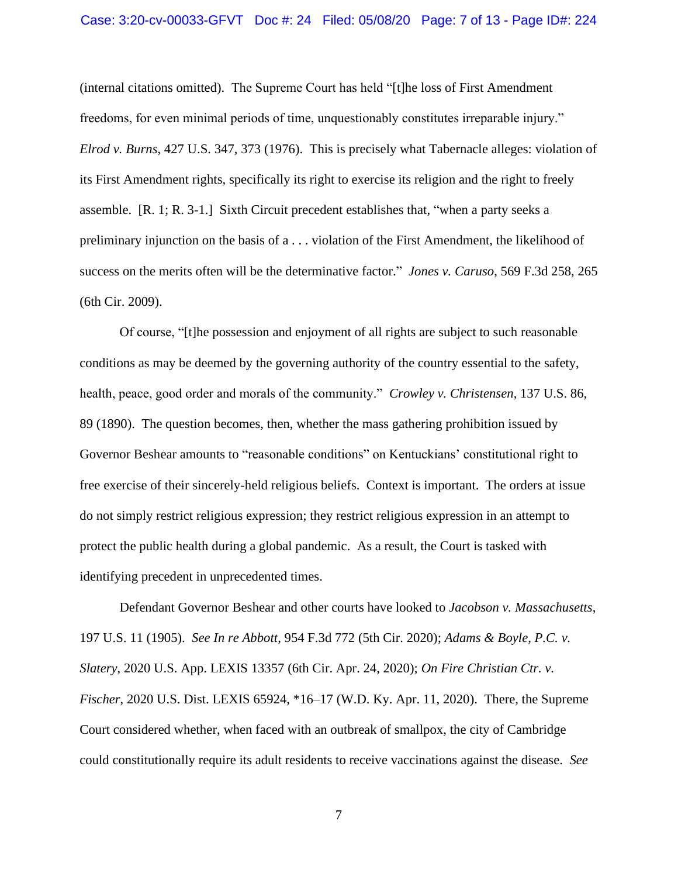#### Case: 3:20-cv-00033-GFVT Doc #: 24 Filed: 05/08/20 Page: 7 of 13 - Page ID#: 224

(internal citations omitted). The Supreme Court has held "[t]he loss of First Amendment freedoms, for even minimal periods of time, unquestionably constitutes irreparable injury." *Elrod v. Burns*, 427 U.S. 347, 373 (1976). This is precisely what Tabernacle alleges: violation of its First Amendment rights, specifically its right to exercise its religion and the right to freely assemble. [R. 1; R. 3-1.] Sixth Circuit precedent establishes that, "when a party seeks a preliminary injunction on the basis of a . . . violation of the First Amendment, the likelihood of success on the merits often will be the determinative factor." *Jones v. Caruso*, 569 F.3d 258, 265 (6th Cir. 2009).

Of course, "[t]he possession and enjoyment of all rights are subject to such reasonable conditions as may be deemed by the governing authority of the country essential to the safety, health, peace, good order and morals of the community." *Crowley v. Christensen*, 137 U.S. 86, 89 (1890). The question becomes, then, whether the mass gathering prohibition issued by Governor Beshear amounts to "reasonable conditions" on Kentuckians' constitutional right to free exercise of their sincerely-held religious beliefs. Context is important. The orders at issue do not simply restrict religious expression; they restrict religious expression in an attempt to protect the public health during a global pandemic. As a result, the Court is tasked with identifying precedent in unprecedented times.

Defendant Governor Beshear and other courts have looked to *Jacobson v. Massachusetts*, 197 U.S. 11 (1905). *See In re Abbott*, 954 F.3d 772 (5th Cir. 2020); *Adams & Boyle, P.C. v. Slatery*, 2020 U.S. App. LEXIS 13357 (6th Cir. Apr. 24, 2020); *On Fire Christian Ctr. v. Fischer*, 2020 U.S. Dist. LEXIS 65924, \*16–17 (W.D. Ky. Apr. 11, 2020). There, the Supreme Court considered whether, when faced with an outbreak of smallpox, the city of Cambridge could constitutionally require its adult residents to receive vaccinations against the disease. *See*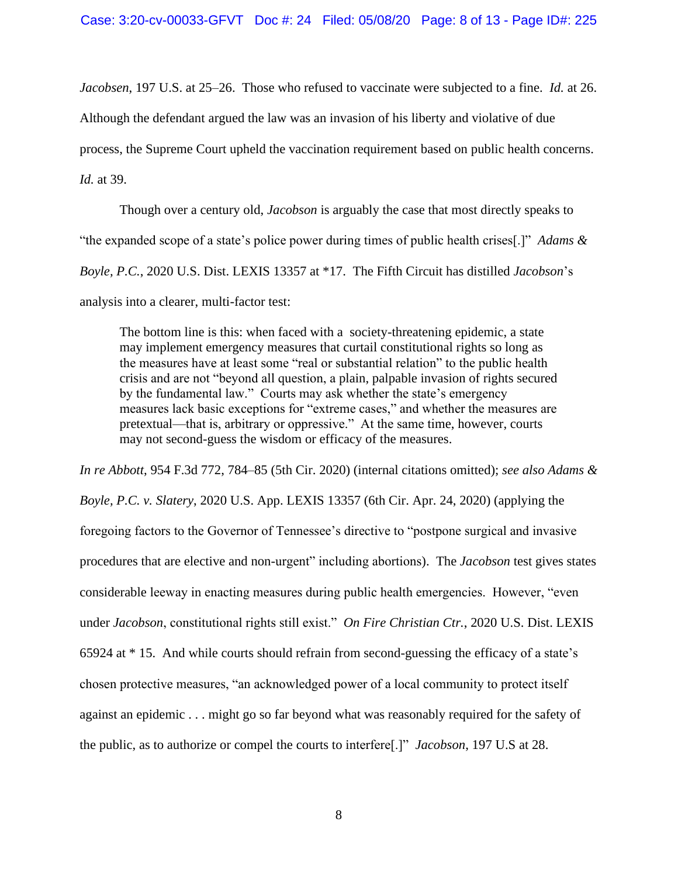*Jacobsen*, 197 U.S. at 25–26. Those who refused to vaccinate were subjected to a fine. *Id.* at 26.

Although the defendant argued the law was an invasion of his liberty and violative of due

process, the Supreme Court upheld the vaccination requirement based on public health concerns.

*Id.* at 39.

Though over a century old, *Jacobson* is arguably the case that most directly speaks to "the expanded scope of a state's police power during times of public health crises[.]" *Adams & Boyle, P.C.*, 2020 U.S. Dist. LEXIS 13357 at \*17. The Fifth Circuit has distilled *Jacobson*'s analysis into a clearer, multi-factor test:

The bottom line is this: when faced with a society-threatening epidemic, a state may implement emergency measures that curtail constitutional rights so long as the measures have at least some "real or substantial relation" to the public health crisis and are not "beyond all question, a plain, palpable invasion of rights secured by the fundamental law." Courts may ask whether the state's emergency measures lack basic exceptions for "extreme cases," and whether the measures are pretextual—that is, arbitrary or oppressive." At the same time, however, courts may not second-guess the wisdom or efficacy of the measures.

*In re Abbott*, 954 F.3d 772, 784–85 (5th Cir. 2020) (internal citations omitted); *see also Adams & Boyle, P.C. v. Slatery*, 2020 U.S. App. LEXIS 13357 (6th Cir. Apr. 24, 2020) (applying the foregoing factors to the Governor of Tennessee's directive to "postpone surgical and invasive procedures that are elective and non-urgent" including abortions). The *Jacobson* test gives states considerable leeway in enacting measures during public health emergencies. However, "even under *Jacobson*, constitutional rights still exist." *On Fire Christian Ctr.*, 2020 U.S. Dist. LEXIS 65924 at \* 15. And while courts should refrain from second-guessing the efficacy of a state's chosen protective measures, "an acknowledged power of a local community to protect itself against an epidemic . . . might go so far beyond what was reasonably required for the safety of the public, as to authorize or compel the courts to interfere[.]" *Jacobson*, 197 U.S at 28.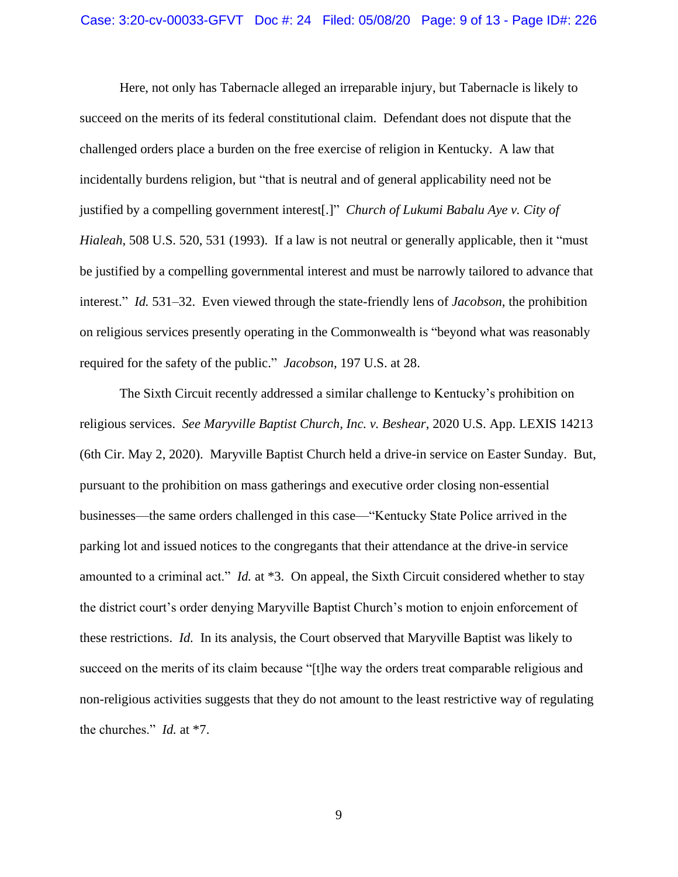Here, not only has Tabernacle alleged an irreparable injury, but Tabernacle is likely to succeed on the merits of its federal constitutional claim. Defendant does not dispute that the challenged orders place a burden on the free exercise of religion in Kentucky. A law that incidentally burdens religion, but "that is neutral and of general applicability need not be justified by a compelling government interest[.]" *Church of Lukumi Babalu Aye v. City of Hialeah*, 508 U.S. 520, 531 (1993). If a law is not neutral or generally applicable, then it "must be justified by a compelling governmental interest and must be narrowly tailored to advance that interest." *Id.* 531–32. Even viewed through the state-friendly lens of *Jacobson*, the prohibition on religious services presently operating in the Commonwealth is "beyond what was reasonably required for the safety of the public." *Jacobson*, 197 U.S. at 28.

The Sixth Circuit recently addressed a similar challenge to Kentucky's prohibition on religious services. *See Maryville Baptist Church, Inc. v. Beshear*, 2020 U.S. App. LEXIS 14213 (6th Cir. May 2, 2020). Maryville Baptist Church held a drive-in service on Easter Sunday. But, pursuant to the prohibition on mass gatherings and executive order closing non-essential businesses—the same orders challenged in this case—"Kentucky State Police arrived in the parking lot and issued notices to the congregants that their attendance at the drive-in service amounted to a criminal act." *Id.* at \*3. On appeal, the Sixth Circuit considered whether to stay the district court's order denying Maryville Baptist Church's motion to enjoin enforcement of these restrictions. *Id.* In its analysis, the Court observed that Maryville Baptist was likely to succeed on the merits of its claim because "[t]he way the orders treat comparable religious and non-religious activities suggests that they do not amount to the least restrictive way of regulating the churches." *Id.* at \*7.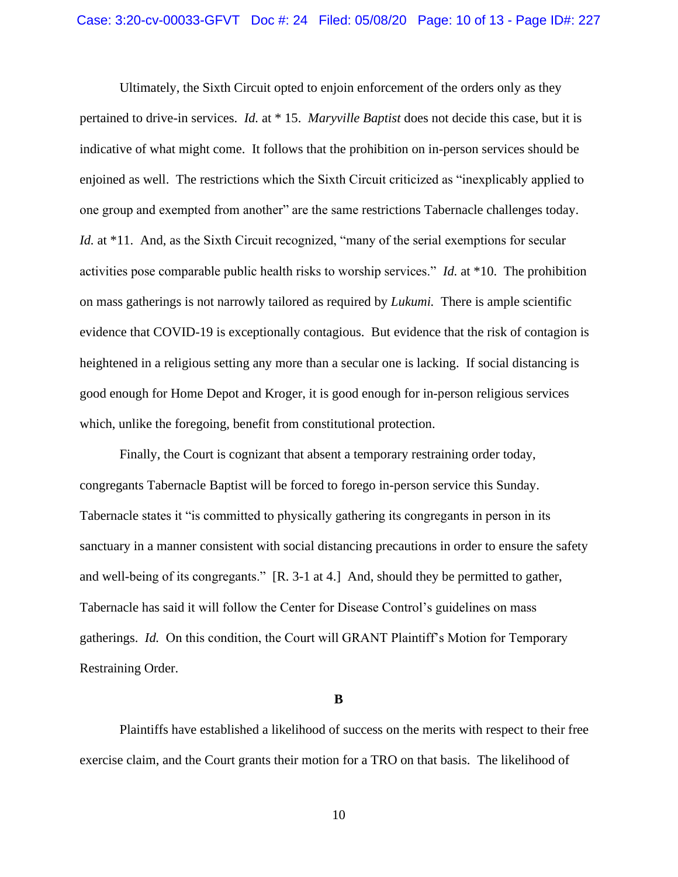Ultimately, the Sixth Circuit opted to enjoin enforcement of the orders only as they pertained to drive-in services. *Id.* at \* 15. *Maryville Baptist* does not decide this case, but it is indicative of what might come. It follows that the prohibition on in-person services should be enjoined as well. The restrictions which the Sixth Circuit criticized as "inexplicably applied to one group and exempted from another" are the same restrictions Tabernacle challenges today. *Id.* at \*11. And, as the Sixth Circuit recognized, "many of the serial exemptions for secular activities pose comparable public health risks to worship services." *Id.* at \*10. The prohibition on mass gatherings is not narrowly tailored as required by *Lukumi.* There is ample scientific evidence that COVID-19 is exceptionally contagious. But evidence that the risk of contagion is heightened in a religious setting any more than a secular one is lacking. If social distancing is good enough for Home Depot and Kroger, it is good enough for in-person religious services which, unlike the foregoing, benefit from constitutional protection.

Finally, the Court is cognizant that absent a temporary restraining order today, congregants Tabernacle Baptist will be forced to forego in-person service this Sunday. Tabernacle states it "is committed to physically gathering its congregants in person in its sanctuary in a manner consistent with social distancing precautions in order to ensure the safety and well-being of its congregants." [R. 3-1 at 4.] And, should they be permitted to gather, Tabernacle has said it will follow the Center for Disease Control's guidelines on mass gatherings. *Id.* On this condition, the Court will GRANT Plaintiff's Motion for Temporary Restraining Order.

**B**

Plaintiffs have established a likelihood of success on the merits with respect to their free exercise claim, and the Court grants their motion for a TRO on that basis. The likelihood of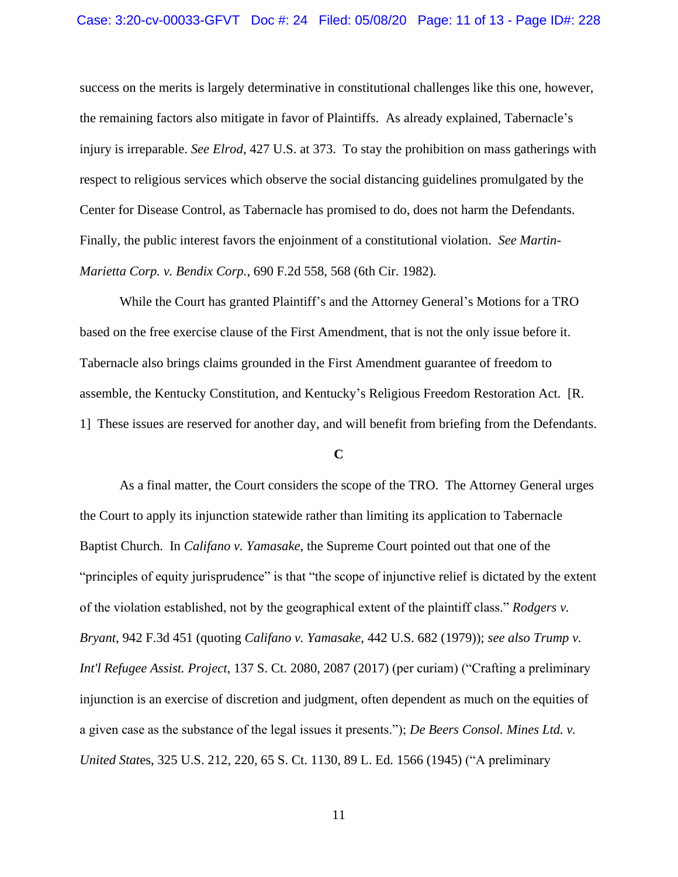success on the merits is largely determinative in constitutional challenges like this one, however, the remaining factors also mitigate in favor of Plaintiffs. As already explained, Tabernacle's injury is irreparable. *See Elrod*, 427 U.S. at 373. To stay the prohibition on mass gatherings with respect to religious services which observe the social distancing guidelines promulgated by the Center for Disease Control, as Tabernacle has promised to do, does not harm the Defendants. Finally, the public interest favors the enjoinment of a constitutional violation. *See Martin-Marietta Corp. v. Bendix Corp.*, 690 F.2d 558, 568 (6th Cir. 1982).

While the Court has granted Plaintiff's and the Attorney General's Motions for a TRO based on the free exercise clause of the First Amendment, that is not the only issue before it. Tabernacle also brings claims grounded in the First Amendment guarantee of freedom to assemble, the Kentucky Constitution, and Kentucky's Religious Freedom Restoration Act. [R. 1] These issues are reserved for another day, and will benefit from briefing from the Defendants.

#### **C**

As a final matter, the Court considers the scope of the TRO. The Attorney General urges the Court to apply its injunction statewide rather than limiting its application to Tabernacle Baptist Church. In *Califano v. Yamasake*, the Supreme Court pointed out that one of the "principles of equity jurisprudence" is that "the scope of injunctive relief is dictated by the extent of the violation established, not by the geographical extent of the plaintiff class." *Rodgers v. Bryant*, 942 F.3d 451 (quoting *Califano v. Yamasake*, 442 U.S. 682 (1979)); *see also Trump v. Int'l Refugee Assist. Project*, 137 S. Ct. 2080, 2087 (2017) (per curiam) ("Crafting a preliminary injunction is an exercise of discretion and judgment, often dependent as much on the equities of a given case as the substance of the legal issues it presents."); *De Beers Consol. Mines Ltd. v. United Stat*es, 325 U.S. 212, 220, 65 S. Ct. 1130, 89 L. Ed. 1566 (1945) ("A preliminary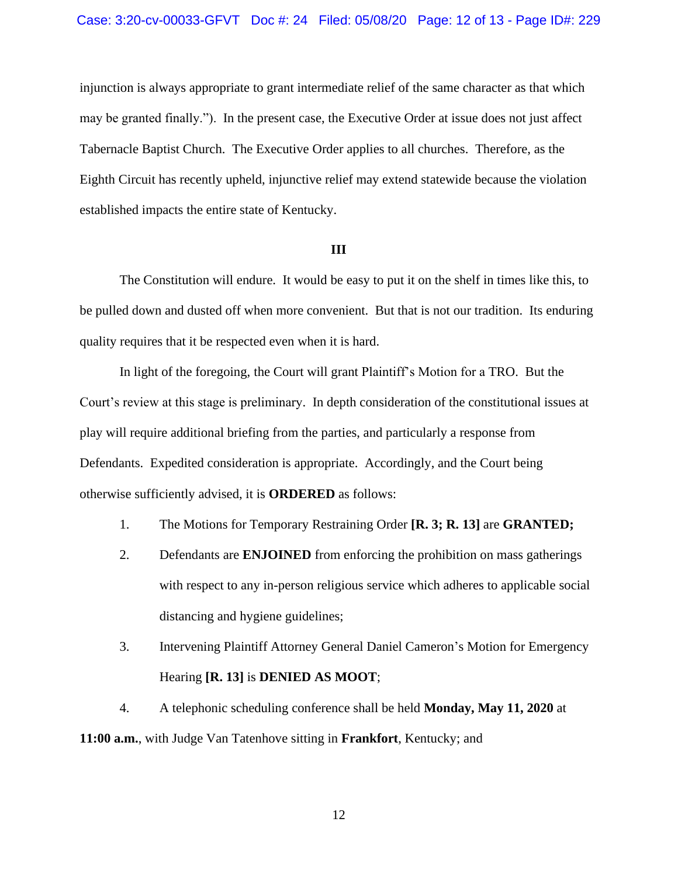injunction is always appropriate to grant intermediate relief of the same character as that which may be granted finally."). In the present case, the Executive Order at issue does not just affect Tabernacle Baptist Church. The Executive Order applies to all churches. Therefore, as the Eighth Circuit has recently upheld, injunctive relief may extend statewide because the violation established impacts the entire state of Kentucky.

### **III**

The Constitution will endure. It would be easy to put it on the shelf in times like this, to be pulled down and dusted off when more convenient. But that is not our tradition. Its enduring quality requires that it be respected even when it is hard.

In light of the foregoing, the Court will grant Plaintiff's Motion for a TRO. But the Court's review at this stage is preliminary. In depth consideration of the constitutional issues at play will require additional briefing from the parties, and particularly a response from Defendants. Expedited consideration is appropriate. Accordingly, and the Court being otherwise sufficiently advised, it is **ORDERED** as follows:

- 1. The Motions for Temporary Restraining Order **[R. 3; R. 13]** are **GRANTED;**
- 2. Defendants are **ENJOINED** from enforcing the prohibition on mass gatherings with respect to any in-person religious service which adheres to applicable social distancing and hygiene guidelines;
- 3. Intervening Plaintiff Attorney General Daniel Cameron's Motion for Emergency Hearing **[R. 13]** is **DENIED AS MOOT**;

4. A telephonic scheduling conference shall be held **Monday, May 11, 2020** at **11:00 a.m.**, with Judge Van Tatenhove sitting in **Frankfort**, Kentucky; and